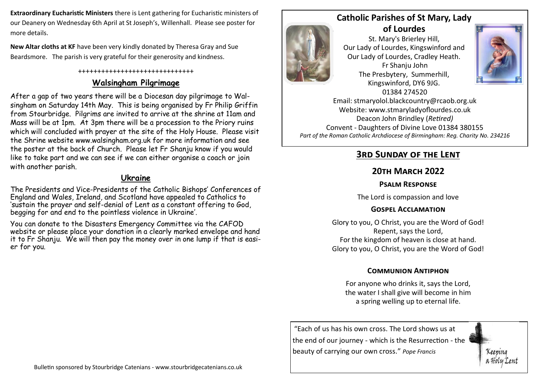**Extraordinary Eucharistic Ministers** there is Lent gathering for Eucharistic ministers of our Deanery on Wednesday 6th April at St Joseph's, Willenhall. Please see poster for more details.

**New Altar cloths at KF** have been very kindly donated by Theresa Gray and Sue Beardsmore. The parish is very grateful for their generosity and kindness.

#### ++++++++++++++++++++++++++++++

## **Walsingham Pilgrimage**

After a gap of two years there will be a Diocesan day pilgrimage to Walsingham on Saturday 14th May. This is being organised by Fr Philip Griffin from Stourbridge. Pilgrims are invited to arrive at the shrine at 11am and Mass will be at 1pm. At 3pm there will be a procession to the Priory ruins which will concluded with prayer at the site of the Holy House. Please visit the Shrine website www.walsingham.org.uk for more information and see the poster at the back of Church. Please let Fr Shanju know if you would like to take part and we can see if we can either organise a coach or join with another parish.

#### **Ukraine**

The Presidents and Vice-Presidents of the Catholic Bishops' Conferences of England and Wales, Ireland, and Scotland have appealed to Catholics to 'sustain the prayer and self-denial of Lent as a constant offering to God, begging for and end to the pointless violence in Ukraine'.

You can donate to the Disasters Emergency Committee via the CAFOD website or please place your donation in a clearly marked envelope and hand it to Fr Shanju. We will then pay the money over in one lump if that is easier for you.



**Catholic Parishes of St Mary, Lady of Lourdes** 

St. Mary's Brierley Hill, Our Lady of Lourdes, Kingswinford and Our Lady of Lourdes, Cradley Heath. Fr Shanju John The Presbytery, Summerhill, Kingswinford, DY6 9JG. 01384 274520



Keenina

Email: stmaryolol.blackcountry@rcaob.org.uk Website: www.stmaryladyoflourdes.co.uk Deacon John Brindley (*Retired)* Convent - Daughters of Divine Love 01384 380155 *Part of the Roman Catholic Archdiocese of Birmingham: Reg. Charity No. 234216*

# **3rd Sunday of the Lent**

## **20th March 2022**

### **Psalm Response**

The Lord is compassion and love

#### **Gospel Acclamation**

Glory to you, O Christ, you are the Word of God! Repent, says the Lord, For the kingdom of heaven is close at hand. Glory to you, O Christ, you are the Word of God!

### **Communion Antiphon**

For anyone who drinks it, says the Lord, the water I shall give will become in him a spring welling up to eternal life.

"Each of us has his own cross. The Lord shows us at the end of our journey - which is the Resurrection - the beauty of carrying our own cross." *Pope Francis*